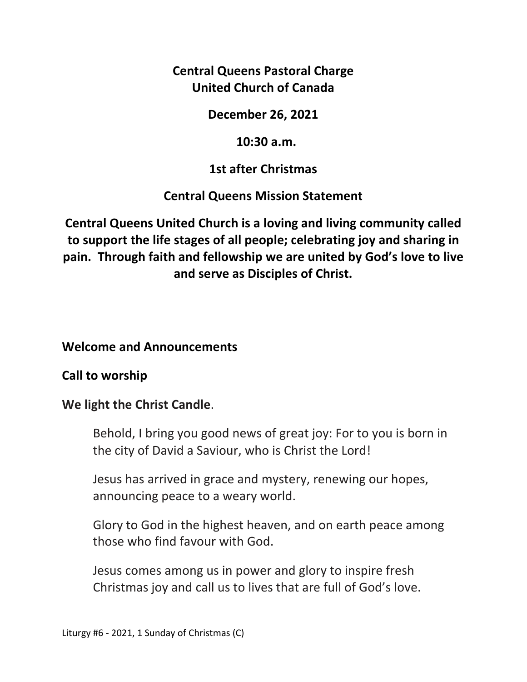**Central Queens Pastoral Charge United Church of Canada** 

### **December 26, 2021**

### **10:30 a.m.**

## **1st after Christmas**

## **Central Queens Mission Statement**

**Central Queens United Church is a loving and living community called to support the life stages of all people; celebrating joy and sharing in pain. Through faith and fellowship we are united by God's love to live and serve as Disciples of Christ.**

### **Welcome and Announcements**

## **Call to worship**

## **We light the Christ Candle**.

Behold, I bring you good news of great joy: For to you is born in the city of David a Saviour, who is Christ the Lord!

 Jesus has arrived in grace and mystery, renewing our hopes, announcing peace to a weary world.

 Glory to God in the highest heaven, and on earth peace among those who find favour with God.

 Jesus comes among us in power and glory to inspire fresh Christmas joy and call us to lives that are full of God's love.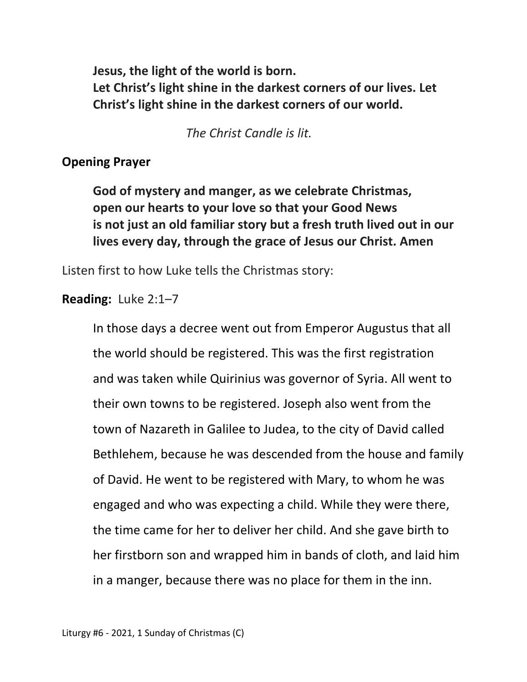**Jesus, the light of the world is born. Let Christ's light shine in the darkest corners of our lives. Let Christ's light shine in the darkest corners of our world.** 

 *The Christ Candle is lit.* 

#### **Opening Prayer**

 **God of mystery and manger, as we celebrate Christmas, open our hearts to your love so that your Good News is not just an old familiar story but a fresh truth lived out in our lives every day, through the grace of Jesus our Christ. Amen** 

Listen first to how Luke tells the Christmas story:

#### **Reading:** Luke 2:1–7

 In those days a decree went out from Emperor Augustus that all the world should be registered. This was the first registration and was taken while Quirinius was governor of Syria. All went to their own towns to be registered. Joseph also went from the town of Nazareth in Galilee to Judea, to the city of David called Bethlehem, because he was descended from the house and family of David. He went to be registered with Mary, to whom he was engaged and who was expecting a child. While they were there, the time came for her to deliver her child. And she gave birth to her firstborn son and wrapped him in bands of cloth, and laid him in a manger, because there was no place for them in the inn.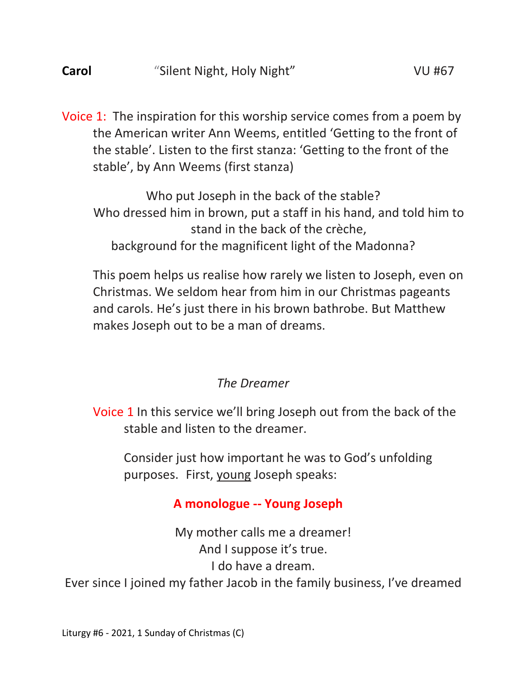Voice 1: The inspiration for this worship service comes from a poem by the American writer Ann Weems, entitled 'Getting to the front of the stable'. Listen to the first stanza: 'Getting to the front of the stable', by Ann Weems (first stanza)

Who put Joseph in the back of the stable? Who dressed him in brown, put a staff in his hand, and told him to stand in the back of the crèche, background for the magnificent light of the Madonna?

 This poem helps us realise how rarely we listen to Joseph, even on Christmas. We seldom hear from him in our Christmas pageants and carols. He's just there in his brown bathrobe. But Matthew makes Joseph out to be a man of dreams.

## *The Dreamer*

Voice 1 In this service we'll bring Joseph out from the back of the stable and listen to the dreamer.

 Consider just how important he was to God's unfolding purposes. First, young Joseph speaks:

# **A monologue -- Young Joseph**

My mother calls me a dreamer! And I suppose it's true. I do have a dream. Ever since I joined my father Jacob in the family business, I've dreamed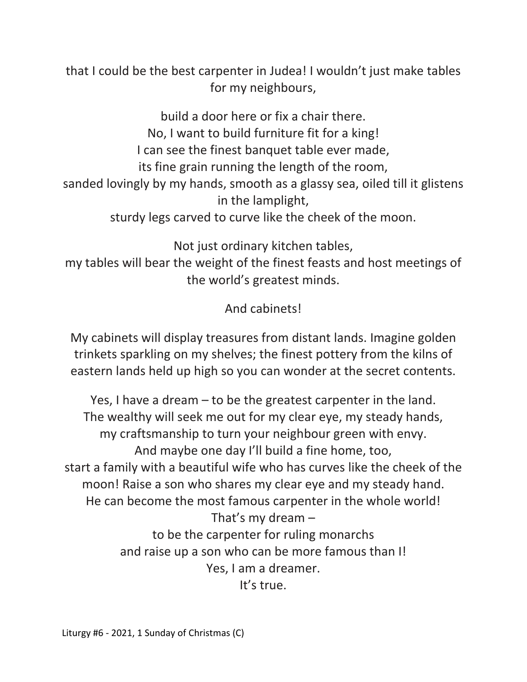that I could be the best carpenter in Judea! I wouldn't just make tables for my neighbours,

build a door here or fix a chair there. No, I want to build furniture fit for a king! I can see the finest banquet table ever made, its fine grain running the length of the room, sanded lovingly by my hands, smooth as a glassy sea, oiled till it glistens in the lamplight, sturdy legs carved to curve like the cheek of the moon.

Not just ordinary kitchen tables, my tables will bear the weight of the finest feasts and host meetings of the world's greatest minds.

And cabinets!

My cabinets will display treasures from distant lands. Imagine golden trinkets sparkling on my shelves; the finest pottery from the kilns of eastern lands held up high so you can wonder at the secret contents.

Yes, I have a dream – to be the greatest carpenter in the land. The wealthy will seek me out for my clear eye, my steady hands, my craftsmanship to turn your neighbour green with envy. And maybe one day I'll build a fine home, too, start a family with a beautiful wife who has curves like the cheek of the moon! Raise a son who shares my clear eye and my steady hand. He can become the most famous carpenter in the whole world! That's my dream – to be the carpenter for ruling monarchs and raise up a son who can be more famous than I! Yes, I am a dreamer. It's true.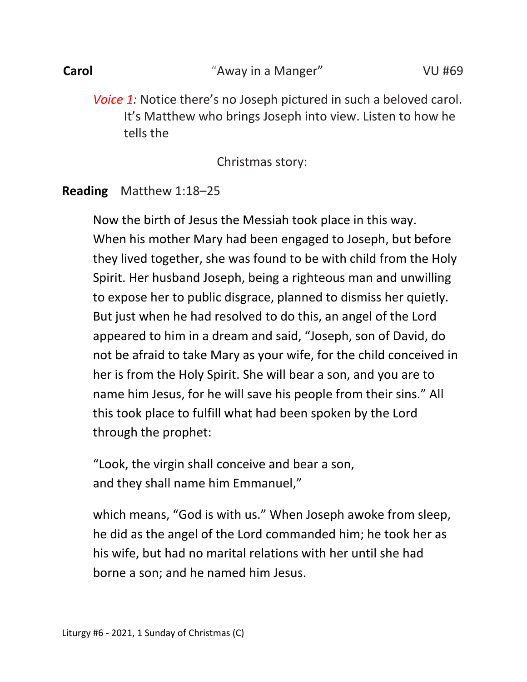Liturgy #6 - 2021, 1 Sunday of Christmas (C)

*Voice 1:* Notice there's no Joseph pictured in such a beloved carol. It's Matthew who brings Joseph into view. Listen to how he tells the

Christmas story:

# **Reading** Matthew 1:18–25

Now the birth of Jesus the Messiah took place in this way. When his mother Mary had been engaged to Joseph, but before they lived together, she was found to be with child from the Holy Spirit. Her husband Joseph, being a righteous man and unwilling to expose her to public disgrace, planned to dismiss her quietly. But just when he had resolved to do this, an angel of the Lord appeared to him in a dream and said, "Joseph, son of David, do not be afraid to take Mary as your wife, for the child conceived in her is from the Holy Spirit. She will bear a son, and you are to name him Jesus, for he will save his people from their sins." All this took place to fulfill what had been spoken by the Lord through the prophet:

which means, "God is with us." When Joseph awoke from sleep,

he did as the angel of the Lord commanded him; he took her as

"Look, the virgin shall conceive and bear a son, and they shall name him Emmanuel,"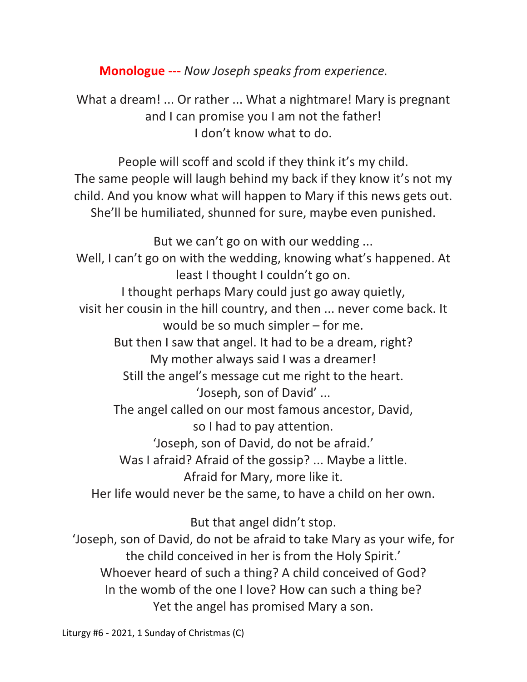**Monologue ---** *Now Joseph speaks from experience.* 

What a dream! ... Or rather ... What a nightmare! Mary is pregnant and I can promise you I am not the father! I don't know what to do.

People will scoff and scold if they think it's my child. The same people will laugh behind my back if they know it's not my child. And you know what will happen to Mary if this news gets out. She'll be humiliated, shunned for sure, maybe even punished.

But we can't go on with our wedding ...

Well, I can't go on with the wedding, knowing what's happened. At least I thought I couldn't go on. I thought perhaps Mary could just go away quietly, visit her cousin in the hill country, and then ... never come back. It would be so much simpler – for me. But then I saw that angel. It had to be a dream, right? My mother always said I was a dreamer! Still the angel's message cut me right to the heart. 'Joseph, son of David' ... The angel called on our most famous ancestor, David, so I had to pay attention. 'Joseph, son of David, do not be afraid.' Was I afraid? Afraid of the gossip? ... Maybe a little. Afraid for Mary, more like it. Her life would never be the same, to have a child on her own.

But that angel didn't stop.

'Joseph, son of David, do not be afraid to take Mary as your wife, for the child conceived in her is from the Holy Spirit.' Whoever heard of such a thing? A child conceived of God? In the womb of the one I love? How can such a thing be? Yet the angel has promised Mary a son.

Liturgy #6 - 2021, 1 Sunday of Christmas (C)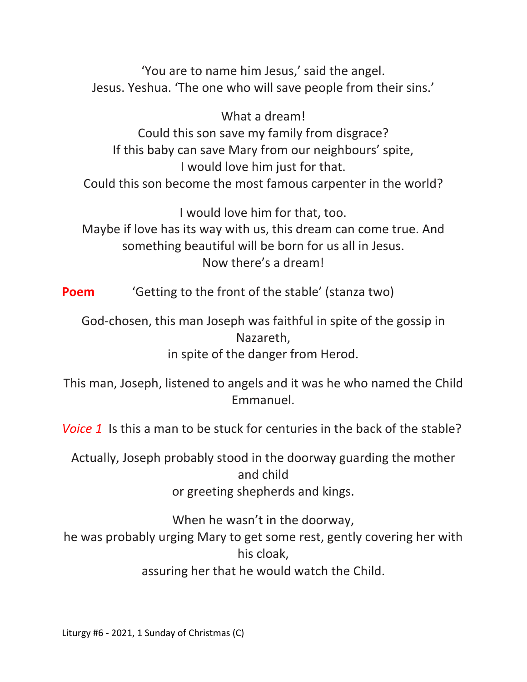'You are to name him Jesus,' said the angel. Jesus. Yeshua. 'The one who will save people from their sins.'

What a dream! Could this son save my family from disgrace? If this baby can save Mary from our neighbours' spite, I would love him just for that. Could this son become the most famous carpenter in the world?

I would love him for that, too. Maybe if love has its way with us, this dream can come true. And

something beautiful will be born for us all in Jesus. Now there's a dream!

**Poem** 'Getting to the front of the stable' (stanza two)

God-chosen, this man Joseph was faithful in spite of the gossip in Nazareth, in spite of the danger from Herod.

This man, Joseph, listened to angels and it was he who named the Child Emmanuel.

*Voice 1* Is this a man to be stuck for centuries in the back of the stable?

Actually, Joseph probably stood in the doorway guarding the mother and child or greeting shepherds and kings.

When he wasn't in the doorway, he was probably urging Mary to get some rest, gently covering her with his cloak, assuring her that he would watch the Child.

Liturgy #6 - 2021, 1 Sunday of Christmas (C)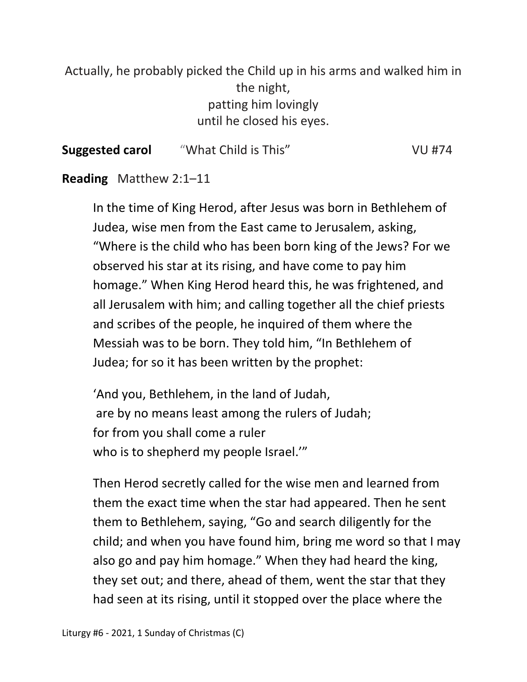Actually, he probably picked the Child up in his arms and walked him in the night, patting him lovingly until he closed his eyes.

| "What Child is This"<br><b>Suggested carol</b><br><b>VU #74</b> |  |
|-----------------------------------------------------------------|--|
|-----------------------------------------------------------------|--|

#### **Reading** Matthew 2:1–11

 In the time of King Herod, after Jesus was born in Bethlehem of Judea, wise men from the East came to Jerusalem, asking, "Where is the child who has been born king of the Jews? For we observed his star at its rising, and have come to pay him homage." When King Herod heard this, he was frightened, and all Jerusalem with him; and calling together all the chief priests and scribes of the people, he inquired of them where the Messiah was to be born. They told him, "In Bethlehem of Judea; for so it has been written by the prophet:

'And you, Bethlehem, in the land of Judah, are by no means least among the rulers of Judah; for from you shall come a ruler who is to shepherd my people Israel.'"

Then Herod secretly called for the wise men and learned from them the exact time when the star had appeared. Then he sent them to Bethlehem, saying, "Go and search diligently for the child; and when you have found him, bring me word so that I may also go and pay him homage." When they had heard the king, they set out; and there, ahead of them, went the star that they had seen at its rising, until it stopped over the place where the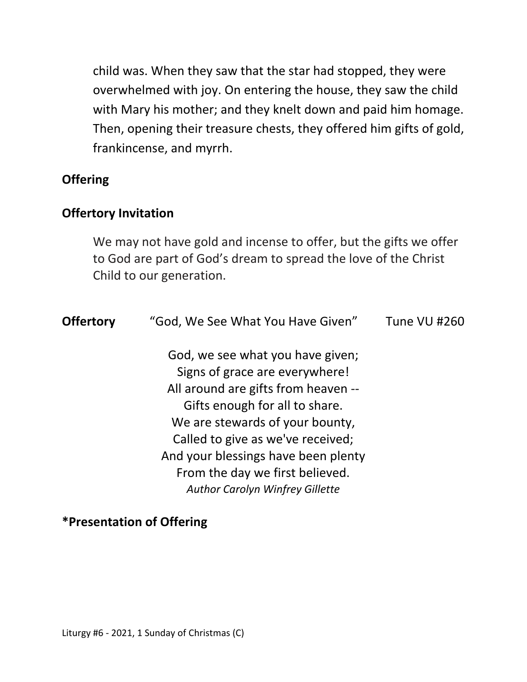child was. When they saw that the star had stopped, they were overwhelmed with joy. On entering the house, they saw the child with Mary his mother; and they knelt down and paid him homage. Then, opening their treasure chests, they offered him gifts of gold, frankincense, and myrrh.

### **Offering**

#### **Offertory Invitation**

 We may not have gold and incense to offer, but the gifts we offer to God are part of God's dream to spread the love of the Christ Child to our generation.

| <b>Offertory</b> | "God, We See What You Have Given"                                                                                                                                                                                                                                                                                                       | Tune VU #260 |
|------------------|-----------------------------------------------------------------------------------------------------------------------------------------------------------------------------------------------------------------------------------------------------------------------------------------------------------------------------------------|--------------|
|                  | God, we see what you have given;<br>Signs of grace are everywhere!<br>All around are gifts from heaven --<br>Gifts enough for all to share.<br>We are stewards of your bounty,<br>Called to give as we've received;<br>And your blessings have been plenty<br>From the day we first believed.<br><b>Author Carolyn Winfrey Gillette</b> |              |
|                  |                                                                                                                                                                                                                                                                                                                                         |              |

### **\*Presentation of Offering**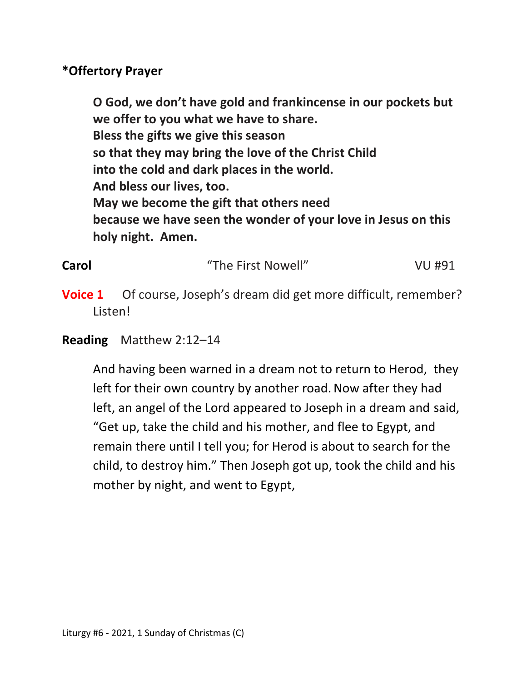### **\*Offertory Prayer**

 **O God, we don't have gold and frankincense in our pockets but we offer to you what we have to share. Bless the gifts we give this season so that they may bring the love of the Christ Child into the cold and dark places in the world. And bless our lives, too. May we become the gift that others need because we have seen the wonder of your love in Jesus on this holy night. Amen.** 

| Carol | "The First Nowell" | VU #91 |
|-------|--------------------|--------|
|       |                    |        |

**Voice 1** Of course, Joseph's dream did get more difficult, remember? Listen!

## **Reading** Matthew 2:12–14

And having been warned in a dream not to return to Herod, they left for their own country by another road.Now after they had left, an angel of the Lord appeared to Joseph in a dream and said, "Get up, take the child and his mother, and flee to Egypt, and remain there until I tell you; for Herod is about to search for the child, to destroy him." Then Joseph got up, took the child and his mother by night, and went to Egypt,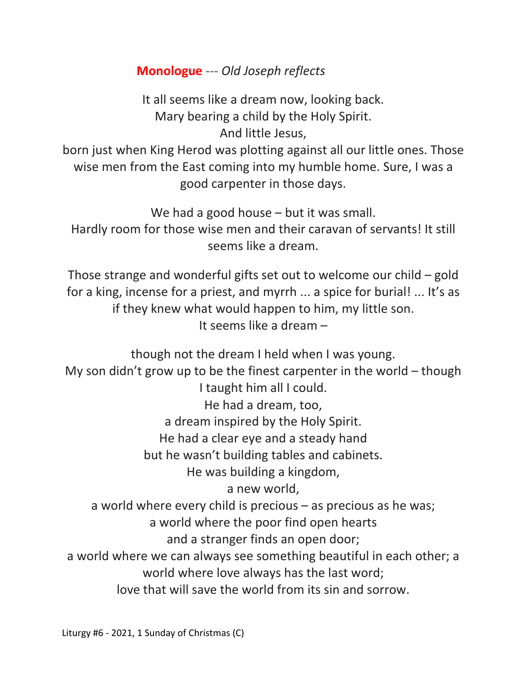## **Monologue ---** *Old Joseph reflects*

It all seems like a dream now, looking back. Mary bearing a child by the Holy Spirit. And little Jesus,

born just when King Herod was plotting against all our little ones. Those wise men from the East coming into my humble home. Sure, I was a good carpenter in those days.

We had a good house – but it was small. Hardly room for those wise men and their caravan of servants! It still seems like a dream.

Those strange and wonderful gifts set out to welcome our child – gold for a king, incense for a priest, and myrrh ... a spice for burial! ... It's as if they knew what would happen to him, my little son. It seems like a dream –

though not the dream I held when I was young. My son didn't grow up to be the finest carpenter in the world – though I taught him all I could. He had a dream, too, a dream inspired by the Holy Spirit. He had a clear eye and a steady hand but he wasn't building tables and cabinets. He was building a kingdom, a new world, a world where every child is precious – as precious as he was; a world where the poor find open hearts and a stranger finds an open door; a world where we can always see something beautiful in each other; a world where love always has the last word; love that will save the world from its sin and sorrow.

Liturgy #6 - 2021, 1 Sunday of Christmas (C)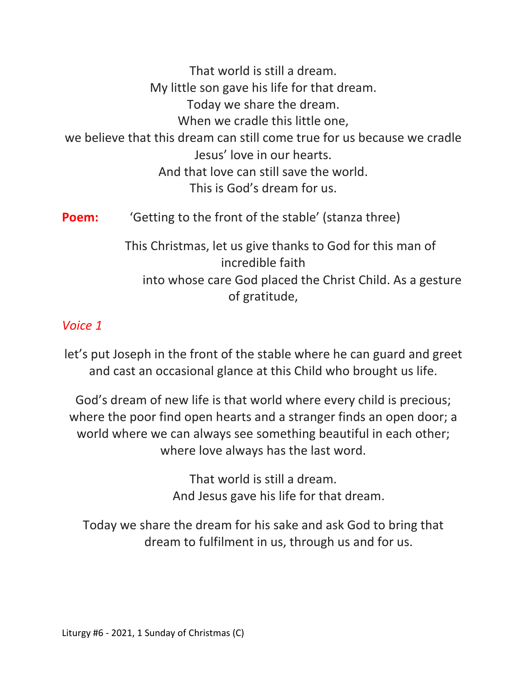That world is still a dream. My little son gave his life for that dream. Today we share the dream. When we cradle this little one, we believe that this dream can still come true for us because we cradle Jesus' love in our hearts. And that love can still save the world. This is God's dream for us. **Poem:** 'Getting to the front of the stable' (stanza three) This Christmas, let us give thanks to God for this man of

> incredible faith into whose care God placed the Christ Child. As a gesture of gratitude,

## *Voice 1*

let's put Joseph in the front of the stable where he can guard and greet and cast an occasional glance at this Child who brought us life.

God's dream of new life is that world where every child is precious; where the poor find open hearts and a stranger finds an open door; a world where we can always see something beautiful in each other; where love always has the last word.

> That world is still a dream. And Jesus gave his life for that dream.

Today we share the dream for his sake and ask God to bring that dream to fulfilment in us, through us and for us.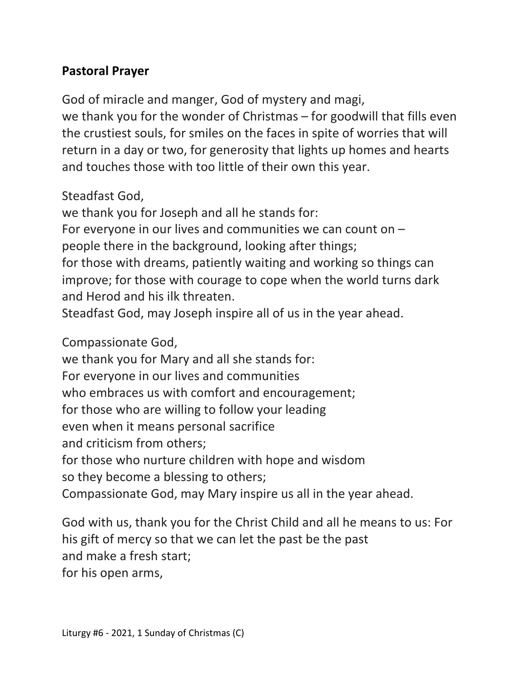## **Pastoral Prayer**

God of miracle and manger, God of mystery and magi, we thank you for the wonder of Christmas – for goodwill that fills even the crustiest souls, for smiles on the faces in spite of worries that will return in a day or two, for generosity that lights up homes and hearts and touches those with too little of their own this year.

Steadfast God,

we thank you for Joseph and all he stands for: For everyone in our lives and communities we can count on – people there in the background, looking after things; for those with dreams, patiently waiting and working so things can improve; for those with courage to cope when the world turns dark and Herod and his ilk threaten.

Steadfast God, may Joseph inspire all of us in the year ahead.

Compassionate God,

we thank you for Mary and all she stands for:

For everyone in our lives and communities

who embraces us with comfort and encouragement;

for those who are willing to follow your leading

even when it means personal sacrifice

and criticism from others;

for those who nurture children with hope and wisdom

so they become a blessing to others;

Compassionate God, may Mary inspire us all in the year ahead.

God with us, thank you for the Christ Child and all he means to us: For his gift of mercy so that we can let the past be the past and make a fresh start;

for his open arms,